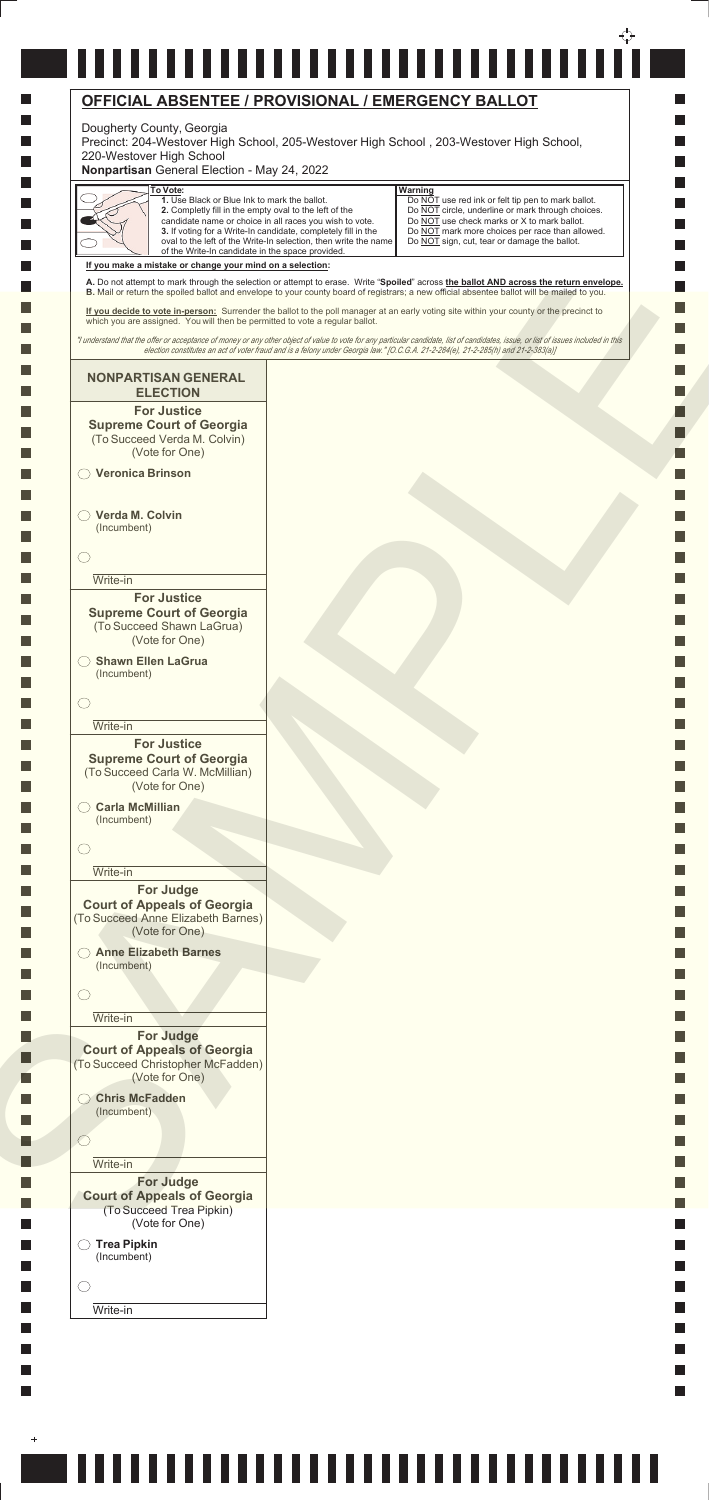## -------------------------------**OFFICIAL ABSENTEE / PROVISIONAL / EMERGENCY BALLOT**

## Dougherty County, Georgia



l a

 $\ddot{}$ 

## ,,,,,,,,,,,,,,,,,,,,,,,,,,,,,,,,,,

Precinct: 204-Westover High School, 205-Westover High School , 203-Westover High School, 220-Westover High School

**Nonpartisan** General Election - May 24, 2022